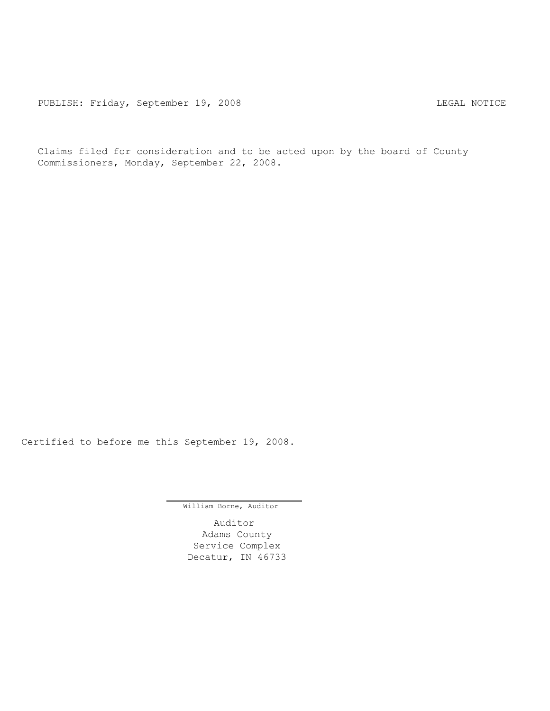Claims filed for consideration and to be acted upon by the board of County Commissioners, Monday, September 22, 2008.

Certified to before me this September 19, 2008.

William Borne, Auditor

Auditor Adams County Service Complex Decatur, IN 46733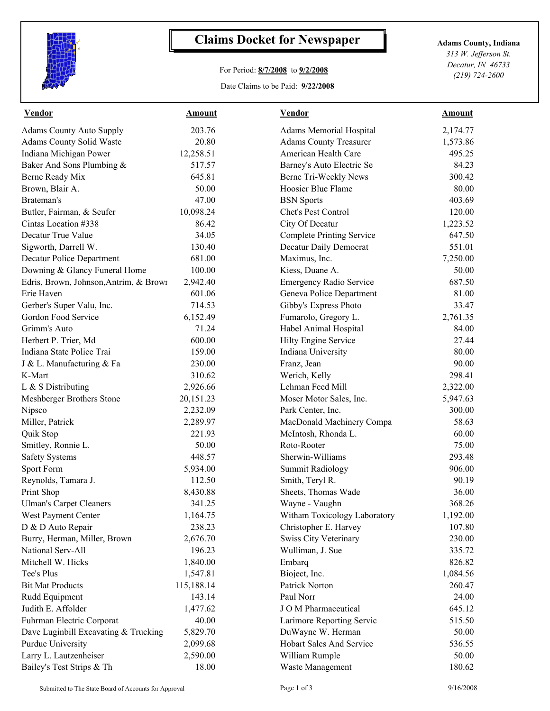

## **Claims Docket for Newspaper Adams County, Indiana**

## For Period: **8/7/2008** to **9/2/2008**

Date Claims to be Paid: **9/22/2008**

*313 W. Jefferson St. Decatur, IN 46733 (219) 724-2600*

| <b>Vendor</b>                          | <b>Amount</b> | <b>Vendor</b>                    | <b>Amount</b> |
|----------------------------------------|---------------|----------------------------------|---------------|
| <b>Adams County Auto Supply</b>        | 203.76        | <b>Adams Memorial Hospital</b>   | 2,174.77      |
| Adams County Solid Waste               | 20.80         | <b>Adams County Treasurer</b>    | 1,573.86      |
| Indiana Michigan Power                 | 12,258.51     | American Health Care             | 495.25        |
| Baker And Sons Plumbing &              | 517.57        | Barney's Auto Electric Se        | 84.23         |
| Berne Ready Mix                        | 645.81        | Berne Tri-Weekly News            | 300.42        |
| Brown, Blair A.                        | 50.00         | Hoosier Blue Flame               | 80.00         |
| Brateman's                             | 47.00         | <b>BSN</b> Sports                | 403.69        |
| Butler, Fairman, & Seufer              | 10,098.24     | Chet's Pest Control              | 120.00        |
| Cintas Location #338                   | 86.42         | City Of Decatur                  | 1,223.52      |
| Decatur True Value                     | 34.05         | <b>Complete Printing Service</b> | 647.50        |
| Sigworth, Darrell W.                   | 130.40        | Decatur Daily Democrat           | 551.01        |
| Decatur Police Department              | 681.00        | Maximus, Inc.                    | 7,250.00      |
| Downing & Glancy Funeral Home          | 100.00        | Kiess, Duane A.                  | 50.00         |
| Edris, Brown, Johnson, Antrim, & Brown | 2,942.40      | <b>Emergency Radio Service</b>   | 687.50        |
| Erie Haven                             | 601.06        | Geneva Police Department         | 81.00         |
| Gerber's Super Valu, Inc.              | 714.53        | Gibby's Express Photo            | 33.47         |
| Gordon Food Service                    | 6,152.49      | Fumarolo, Gregory L.             | 2,761.35      |
| Grimm's Auto                           | 71.24         | Habel Animal Hospital            | 84.00         |
| Herbert P. Trier, Md                   | 600.00        | Hilty Engine Service             | 27.44         |
| Indiana State Police Trai              | 159.00        | Indiana University               | 80.00         |
| J & L. Manufacturing & Fa              | 230.00        | Franz, Jean                      | 90.00         |
| K-Mart                                 | 310.62        | Werich, Kelly                    | 298.41        |
| L & S Distributing                     | 2,926.66      | Lehman Feed Mill                 | 2,322.00      |
| Meshberger Brothers Stone              | 20,151.23     | Moser Motor Sales, Inc.          | 5,947.63      |
| Nipsco                                 | 2,232.09      | Park Center, Inc.                | 300.00        |
| Miller, Patrick                        | 2,289.97      | MacDonald Machinery Compa        | 58.63         |
| Quik Stop                              | 221.93        | McIntosh, Rhonda L.              | 60.00         |
| Smitley, Ronnie L.                     | 50.00         | Roto-Rooter                      | 75.00         |
| <b>Safety Systems</b>                  | 448.57        | Sherwin-Williams                 | 293.48        |
| Sport Form                             | 5,934.00      | <b>Summit Radiology</b>          | 906.00        |
| Reynolds, Tamara J.                    | 112.50        | Smith, Teryl R.                  | 90.19         |
| Print Shop                             | 8,430.88      | Sheets, Thomas Wade              | 36.00         |
| <b>Ulman's Carpet Cleaners</b>         | 341.25        | Wayne - Vaughn                   | 368.26        |
| West Payment Center                    | 1,164.75      | Witham Toxicology Laboratory     | 1,192.00      |
| D & D Auto Repair                      | 238.23        | Christopher E. Harvey            | 107.80        |
| Burry, Herman, Miller, Brown           | 2,676.70      | <b>Swiss City Veterinary</b>     | 230.00        |
| National Serv-All                      | 196.23        | Wulliman, J. Sue                 | 335.72        |
| Mitchell W. Hicks                      | 1,840.00      | Embarq                           | 826.82        |
| Tee's Plus                             | 1,547.81      | Bioject, Inc.                    | 1,084.56      |
| <b>Bit Mat Products</b>                | 115,188.14    | Patrick Norton                   | 260.47        |
| Rudd Equipment                         | 143.14        | Paul Norr                        | 24.00         |
| Judith E. Affolder                     | 1,477.62      | J O M Pharmaceutical             | 645.12        |
| Fuhrman Electric Corporat              | 40.00         | Larimore Reporting Servic        | 515.50        |
| Dave Luginbill Excavating & Trucking   | 5,829.70      | DuWayne W. Herman                | 50.00         |
| <b>Purdue University</b>               | 2,099.68      | Hobart Sales And Service         | 536.55        |
| Larry L. Lautzenheiser                 | 2,590.00      | William Rumple                   | 50.00         |
| Bailey's Test Strips & Th              | 18.00         | Waste Management                 | 180.62        |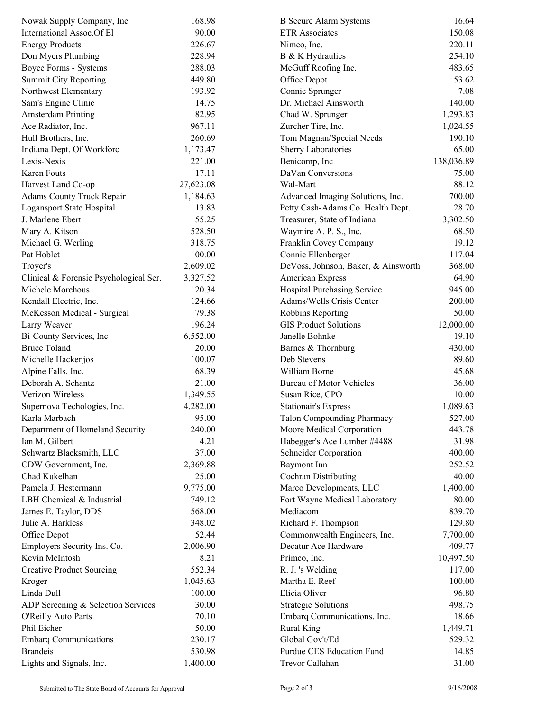| Nowak Supply Company, Inc                | 168.98    | <b>B</b> Secure Alarm Systems       | 16.64      |  |
|------------------------------------------|-----------|-------------------------------------|------------|--|
| International Assoc.Of El                | 90.00     | <b>ETR</b> Associates               | 150.08     |  |
| <b>Energy Products</b>                   | 226.67    | Nimco, Inc.                         | 220.11     |  |
| Don Myers Plumbing                       | 228.94    | B & K Hydraulics                    | 254.10     |  |
| <b>Boyce Forms - Systems</b>             | 288.03    | McGuff Roofing Inc.                 | 483.65     |  |
| <b>Summit City Reporting</b>             | 449.80    | Office Depot                        | 53.62      |  |
| Northwest Elementary                     | 193.92    | Connie Sprunger                     | 7.08       |  |
| Sam's Engine Clinic                      | 14.75     | Dr. Michael Ainsworth               | 140.00     |  |
| <b>Amsterdam Printing</b>                | 82.95     | Chad W. Sprunger                    | 1,293.83   |  |
| Ace Radiator, Inc.                       | 967.11    | Zurcher Tire, Inc.                  | 1,024.55   |  |
| Hull Brothers, Inc.                      | 260.69    | Tom Magnan/Special Needs            | 190.10     |  |
| Indiana Dept. Of Workforc                | 1,173.47  | Sherry Laboratories                 | 65.00      |  |
| Lexis-Nexis                              | 221.00    | Benicomp, Inc.                      | 138,036.89 |  |
| Karen Fouts                              | 17.11     | DaVan Conversions                   | 75.00      |  |
| Harvest Land Co-op                       | 27,623.08 | Wal-Mart                            | 88.12      |  |
| <b>Adams County Truck Repair</b>         | 1,184.63  | Advanced Imaging Solutions, Inc.    | 700.00     |  |
| Logansport State Hospital                | 13.83     | Petty Cash-Adams Co. Health Dept.   | 28.70      |  |
| J. Marlene Ebert                         | 55.25     | Treasurer, State of Indiana         | 3,302.50   |  |
| Mary A. Kitson                           | 528.50    | Waymire A. P. S., Inc.              | 68.50      |  |
| Michael G. Werling                       | 318.75    | Franklin Covey Company              | 19.12      |  |
| Pat Hoblet                               | 100.00    | Connie Ellenberger                  | 117.04     |  |
| Troyer's                                 | 2,609.02  | DeVoss, Johnson, Baker, & Ainsworth | 368.00     |  |
| Clinical & Forensic Psychological Ser.   | 3,327.52  | American Express                    | 64.90      |  |
| Michele Morehous                         | 120.34    | Hospital Purchasing Service         | 945.00     |  |
| Kendall Electric, Inc.                   | 124.66    | Adams/Wells Crisis Center           | 200.00     |  |
| McKesson Medical - Surgical              | 79.38     | Robbins Reporting                   | 50.00      |  |
| Larry Weaver                             | 196.24    | <b>GIS Product Solutions</b>        | 12,000.00  |  |
| Bi-County Services, Inc.                 | 6,552.00  | Janelle Bohnke                      | 19.10      |  |
| <b>Bruce Toland</b>                      | 20.00     | Barnes & Thornburg                  | 430.00     |  |
| Michelle Hackenjos                       | 100.07    | Deb Stevens                         | 89.60      |  |
|                                          | 68.39     | William Borne                       | 45.68      |  |
| Alpine Falls, Inc.<br>Deborah A. Schantz | 21.00     |                                     |            |  |
|                                          |           | <b>Bureau of Motor Vehicles</b>     | 36.00      |  |
| Verizon Wireless                         | 1,349.55  | Susan Rice, CPO                     | 10.00      |  |
| Supernova Techologies, Inc.              | 4,282.00  | <b>Stationair's Express</b>         | 1,089.63   |  |
| Karla Marbach                            | 95.00     | <b>Talon Compounding Pharmacy</b>   | 527.00     |  |
| Department of Homeland Security          | 240.00    | Moore Medical Corporation           | 443.78     |  |
| Ian M. Gilbert                           | 4.21      | Habegger's Ace Lumber #4488         | 31.98      |  |
| Schwartz Blacksmith, LLC                 | 37.00     | <b>Schneider Corporation</b>        | 400.00     |  |
| CDW Government, Inc.                     | 2,369.88  | Baymont Inn                         | 252.52     |  |
| Chad Kukelhan                            | 25.00     | Cochran Distributing                | 40.00      |  |
| Pamela J. Hestermann                     | 9,775.00  | Marco Developments, LLC             | 1,400.00   |  |
| LBH Chemical & Industrial                | 749.12    | Fort Wayne Medical Laboratory       | 80.00      |  |
| James E. Taylor, DDS                     | 568.00    | Mediacom                            | 839.70     |  |
| Julie A. Harkless                        | 348.02    | Richard F. Thompson                 | 129.80     |  |
| Office Depot                             | 52.44     | Commonwealth Engineers, Inc.        | 7,700.00   |  |
| Employers Security Ins. Co.              | 2,006.90  | Decatur Ace Hardware                | 409.77     |  |
| Kevin McIntosh                           | 8.21      | Primco, Inc.                        | 10,497.50  |  |
| <b>Creative Product Sourcing</b>         | 552.34    | R. J. 's Welding                    | 117.00     |  |
| Kroger                                   | 1,045.63  | Martha E. Reef                      | 100.00     |  |
| Linda Dull                               | 100.00    | Elicia Oliver                       | 96.80      |  |
| ADP Screening & Selection Services       | 30.00     | <b>Strategic Solutions</b>          | 498.75     |  |
| <b>O'Reilly Auto Parts</b>               | 70.10     | Embarq Communications, Inc.         | 18.66      |  |
| Phil Eicher                              | 50.00     | <b>Rural King</b>                   | 1,449.71   |  |
| <b>Embarq Communications</b>             | 230.17    | Global Gov't/Ed                     | 529.32     |  |
| <b>Brandeis</b>                          | 530.98    | Purdue CES Education Fund           | 14.85      |  |
| Lights and Signals, Inc.                 | 1,400.00  | Trevor Callahan                     | 31.00      |  |